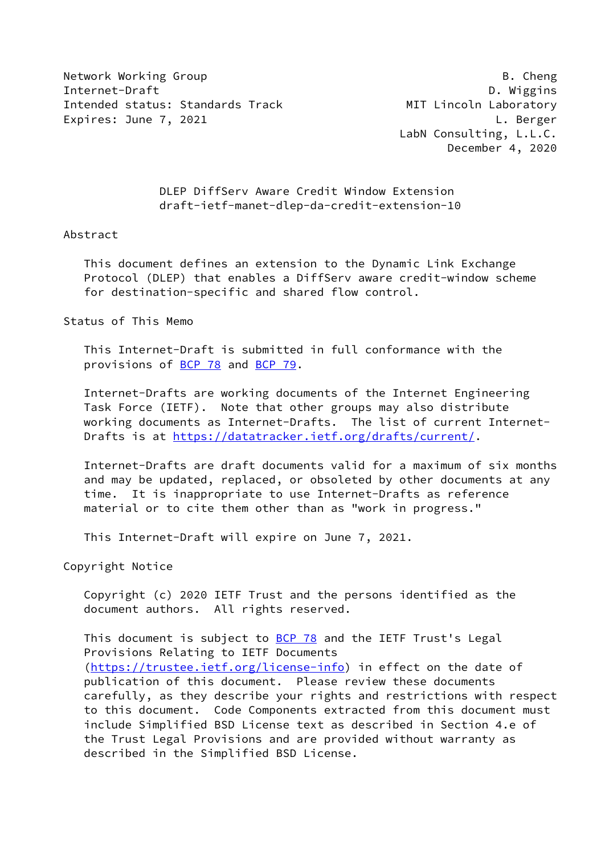Network Working Group **B. Cheng** Internet-Draft D. Wiggins Intended status: Standards Track MIT Lincoln Laboratory Expires: June 7, 2021 and the state of the state of the L. Berger

 LabN Consulting, L.L.C. December 4, 2020

 DLEP DiffServ Aware Credit Window Extension draft-ietf-manet-dlep-da-credit-extension-10

#### Abstract

 This document defines an extension to the Dynamic Link Exchange Protocol (DLEP) that enables a DiffServ aware credit-window scheme for destination-specific and shared flow control.

Status of This Memo

 This Internet-Draft is submitted in full conformance with the provisions of [BCP 78](https://datatracker.ietf.org/doc/pdf/bcp78) and [BCP 79](https://datatracker.ietf.org/doc/pdf/bcp79).

 Internet-Drafts are working documents of the Internet Engineering Task Force (IETF). Note that other groups may also distribute working documents as Internet-Drafts. The list of current Internet- Drafts is at<https://datatracker.ietf.org/drafts/current/>.

 Internet-Drafts are draft documents valid for a maximum of six months and may be updated, replaced, or obsoleted by other documents at any time. It is inappropriate to use Internet-Drafts as reference material or to cite them other than as "work in progress."

This Internet-Draft will expire on June 7, 2021.

Copyright Notice

 Copyright (c) 2020 IETF Trust and the persons identified as the document authors. All rights reserved.

This document is subject to **[BCP 78](https://datatracker.ietf.org/doc/pdf/bcp78)** and the IETF Trust's Legal Provisions Relating to IETF Documents [\(https://trustee.ietf.org/license-info](https://trustee.ietf.org/license-info)) in effect on the date of publication of this document. Please review these documents carefully, as they describe your rights and restrictions with respect to this document. Code Components extracted from this document must include Simplified BSD License text as described in Section 4.e of the Trust Legal Provisions and are provided without warranty as described in the Simplified BSD License.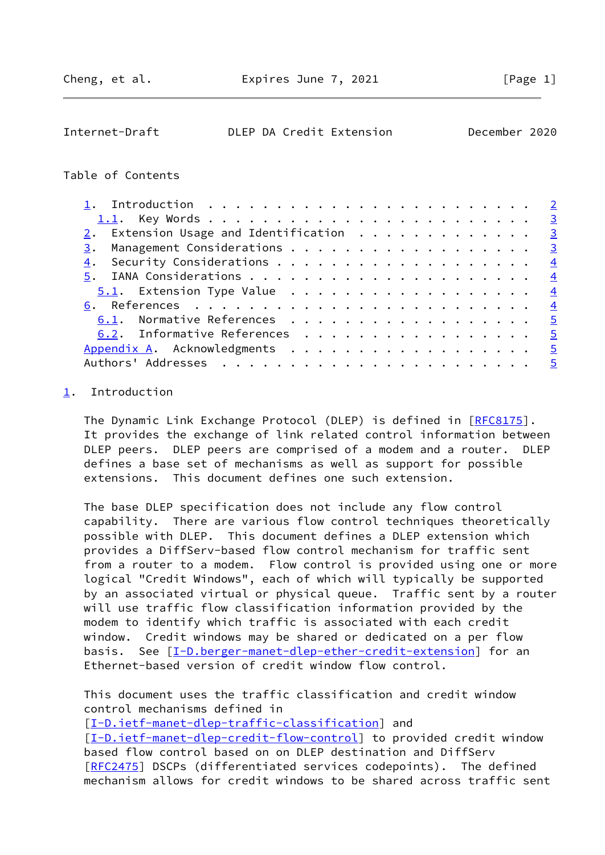<span id="page-1-1"></span>

| Internet-Draft | DLEP DA Credit Extension | December 2020 |  |
|----------------|--------------------------|---------------|--|
|                |                          |               |  |

## Table of Contents

| 2. Extension Usage and Identification $\cdots$ 3 |                             |  |  |  |  |  |  |  |  |  |  |                |
|--------------------------------------------------|-----------------------------|--|--|--|--|--|--|--|--|--|--|----------------|
| 3.                                               | Management Considerations 3 |  |  |  |  |  |  |  |  |  |  |                |
| 4.                                               |                             |  |  |  |  |  |  |  |  |  |  |                |
|                                                  |                             |  |  |  |  |  |  |  |  |  |  |                |
| $\underline{5.1}$ . Extension Type Value 4       |                             |  |  |  |  |  |  |  |  |  |  |                |
|                                                  |                             |  |  |  |  |  |  |  |  |  |  |                |
| 6.1. Normative References                        |                             |  |  |  |  |  |  |  |  |  |  | $\overline{5}$ |
| 6.2. Informative References 5                    |                             |  |  |  |  |  |  |  |  |  |  |                |
| Appendix A. Acknowledgments                      |                             |  |  |  |  |  |  |  |  |  |  | $-5$           |
|                                                  |                             |  |  |  |  |  |  |  |  |  |  | $-5$           |

# <span id="page-1-0"></span>[1](#page-1-0). Introduction

The Dynamic Link Exchange Protocol (DLEP) is defined in [\[RFC8175](https://datatracker.ietf.org/doc/pdf/rfc8175)]. It provides the exchange of link related control information between DLEP peers. DLEP peers are comprised of a modem and a router. DLEP defines a base set of mechanisms as well as support for possible extensions. This document defines one such extension.

 The base DLEP specification does not include any flow control capability. There are various flow control techniques theoretically possible with DLEP. This document defines a DLEP extension which provides a DiffServ-based flow control mechanism for traffic sent from a router to a modem. Flow control is provided using one or more logical "Credit Windows", each of which will typically be supported by an associated virtual or physical queue. Traffic sent by a router will use traffic flow classification information provided by the modem to identify which traffic is associated with each credit window. Credit windows may be shared or dedicated on a per flow basis. See [\[I-D.berger-manet-dlep-ether-credit-extension](#page-5-2)] for an Ethernet-based version of credit window flow control.

 This document uses the traffic classification and credit window control mechanisms defined in

[\[I-D.ietf-manet-dlep-traffic-classification\]](#page-4-4) and [\[I-D.ietf-manet-dlep-credit-flow-control](#page-4-5)] to provided credit window based flow control based on on DLEP destination and DiffServ [\[RFC2475](https://datatracker.ietf.org/doc/pdf/rfc2475)] DSCPs (differentiated services codepoints). The defined mechanism allows for credit windows to be shared across traffic sent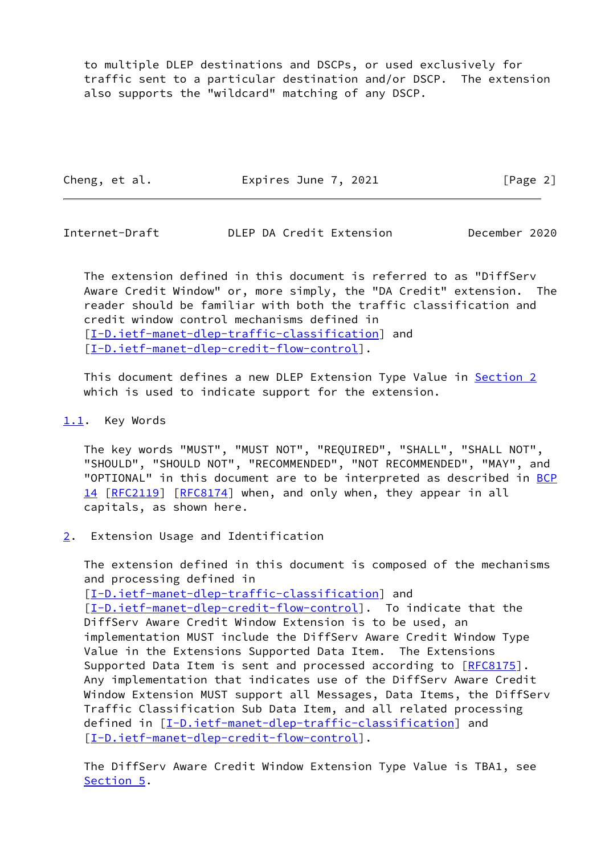to multiple DLEP destinations and DSCPs, or used exclusively for traffic sent to a particular destination and/or DSCP. The extension also supports the "wildcard" matching of any DSCP.

Cheng, et al. **Expires June 7, 2021** [Page 2]

<span id="page-2-1"></span>Internet-Draft DLEP DA Credit Extension December 2020

 The extension defined in this document is referred to as "DiffServ Aware Credit Window" or, more simply, the "DA Credit" extension. The reader should be familiar with both the traffic classification and credit window control mechanisms defined in [\[I-D.ietf-manet-dlep-traffic-classification\]](#page-4-4) and [\[I-D.ietf-manet-dlep-credit-flow-control](#page-4-5)].

 This document defines a new DLEP Extension Type Value in [Section 2](#page-2-2) which is used to indicate support for the extension.

## <span id="page-2-0"></span>[1.1](#page-2-0). Key Words

 The key words "MUST", "MUST NOT", "REQUIRED", "SHALL", "SHALL NOT", "SHOULD", "SHOULD NOT", "RECOMMENDED", "NOT RECOMMENDED", "MAY", and "OPTIONAL" in this document are to be interpreted as described in [BCP](https://datatracker.ietf.org/doc/pdf/bcp14) [14](https://datatracker.ietf.org/doc/pdf/bcp14) [[RFC2119\]](https://datatracker.ietf.org/doc/pdf/rfc2119) [\[RFC8174](https://datatracker.ietf.org/doc/pdf/rfc8174)] when, and only when, they appear in all capitals, as shown here.

<span id="page-2-2"></span>[2](#page-2-2). Extension Usage and Identification

 The extension defined in this document is composed of the mechanisms and processing defined in [\[I-D.ietf-manet-dlep-traffic-classification\]](#page-4-4) and [\[I-D.ietf-manet-dlep-credit-flow-control](#page-4-5)]. To indicate that the DiffServ Aware Credit Window Extension is to be used, an implementation MUST include the DiffServ Aware Credit Window Type Value in the Extensions Supported Data Item. The Extensions Supported Data Item is sent and processed according to [\[RFC8175](https://datatracker.ietf.org/doc/pdf/rfc8175)]. Any implementation that indicates use of the DiffServ Aware Credit Window Extension MUST support all Messages, Data Items, the DiffServ Traffic Classification Sub Data Item, and all related processing defined in [[I-D.ietf-manet-dlep-traffic-classification\]](#page-4-4) and [\[I-D.ietf-manet-dlep-credit-flow-control](#page-4-5)].

 The DiffServ Aware Credit Window Extension Type Value is TBA1, see [Section 5](#page-3-3).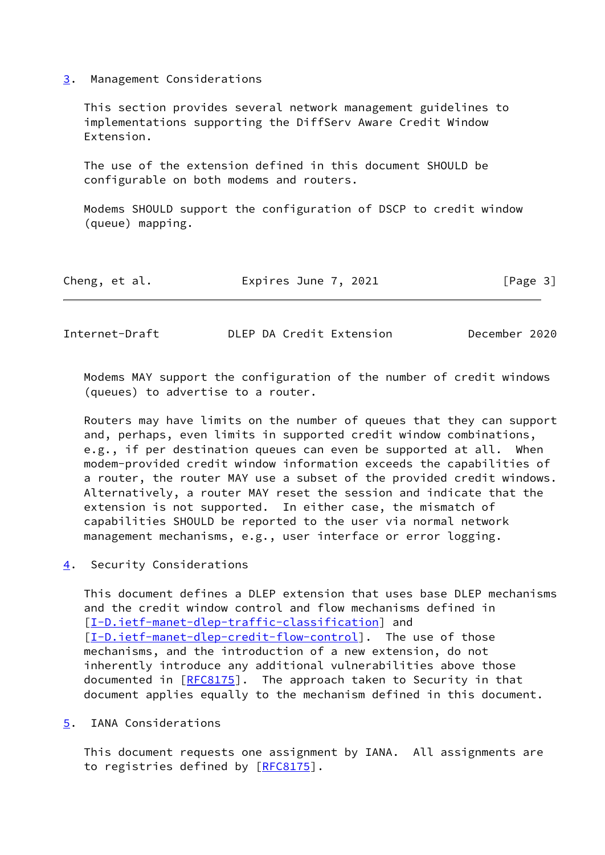<span id="page-3-0"></span>[3](#page-3-0). Management Considerations

 This section provides several network management guidelines to implementations supporting the DiffServ Aware Credit Window Extension.

 The use of the extension defined in this document SHOULD be configurable on both modems and routers.

 Modems SHOULD support the configuration of DSCP to credit window (queue) mapping.

| Expires June 7, 2021<br>Cheng, et al. | [Page 3] |  |
|---------------------------------------|----------|--|
|---------------------------------------|----------|--|

<span id="page-3-2"></span>Internet-Draft DLEP DA Credit Extension December 2020

 Modems MAY support the configuration of the number of credit windows (queues) to advertise to a router.

 Routers may have limits on the number of queues that they can support and, perhaps, even limits in supported credit window combinations, e.g., if per destination queues can even be supported at all. When modem-provided credit window information exceeds the capabilities of a router, the router MAY use a subset of the provided credit windows. Alternatively, a router MAY reset the session and indicate that the extension is not supported. In either case, the mismatch of capabilities SHOULD be reported to the user via normal network management mechanisms, e.g., user interface or error logging.

<span id="page-3-1"></span>[4](#page-3-1). Security Considerations

 This document defines a DLEP extension that uses base DLEP mechanisms and the credit window control and flow mechanisms defined in [\[I-D.ietf-manet-dlep-traffic-classification\]](#page-4-4) and [\[I-D.ietf-manet-dlep-credit-flow-control](#page-4-5)]. The use of those mechanisms, and the introduction of a new extension, do not inherently introduce any additional vulnerabilities above those documented in [[RFC8175](https://datatracker.ietf.org/doc/pdf/rfc8175)]. The approach taken to Security in that document applies equally to the mechanism defined in this document.

<span id="page-3-3"></span>[5](#page-3-3). IANA Considerations

 This document requests one assignment by IANA. All assignments are to registries defined by [\[RFC8175](https://datatracker.ietf.org/doc/pdf/rfc8175)].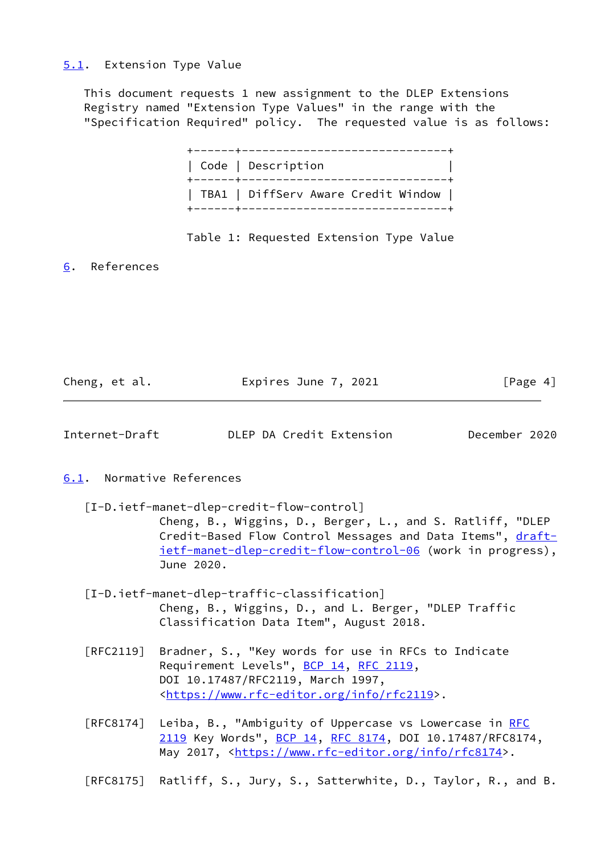#### <span id="page-4-0"></span>[5.1](#page-4-0). Extension Type Value

 This document requests 1 new assignment to the DLEP Extensions Registry named "Extension Type Values" in the range with the "Specification Required" policy. The requested value is as follows:

| Code   Description                  |
|-------------------------------------|
| TBA1   DiffServ Aware Credit Window |

#### Table 1: Requested Extension Type Value

<span id="page-4-1"></span>[6](#page-4-1). References

| Cheng, et al. | Expires June 7, 2021 | [Page 4] |
|---------------|----------------------|----------|
|               |                      |          |

<span id="page-4-3"></span>

| DLEP DA Credit Extension<br>December 2020<br>Internet-Draft |
|-------------------------------------------------------------|
|-------------------------------------------------------------|

#### <span id="page-4-2"></span>[6.1](#page-4-2). Normative References

- <span id="page-4-5"></span> [I-D.ietf-manet-dlep-credit-flow-control] Cheng, B., Wiggins, D., Berger, L., and S. Ratliff, "DLEP Credit-Based Flow Control Messages and Data Items", [draft](https://datatracker.ietf.org/doc/pdf/draft-ietf-manet-dlep-credit-flow-control-06) [ietf-manet-dlep-credit-flow-control-06](https://datatracker.ietf.org/doc/pdf/draft-ietf-manet-dlep-credit-flow-control-06) (work in progress), June 2020.
- <span id="page-4-4"></span> [I-D.ietf-manet-dlep-traffic-classification] Cheng, B., Wiggins, D., and L. Berger, "DLEP Traffic Classification Data Item", August 2018.
- [RFC2119] Bradner, S., "Key words for use in RFCs to Indicate Requirement Levels", [BCP 14](https://datatracker.ietf.org/doc/pdf/bcp14), [RFC 2119](https://datatracker.ietf.org/doc/pdf/rfc2119), DOI 10.17487/RFC2119, March 1997, <[https://www.rfc-editor.org/info/rfc2119>](https://www.rfc-editor.org/info/rfc2119).
- [RFC8174] Leiba, B., "Ambiguity of Uppercase vs Lowercase in [RFC](https://datatracker.ietf.org/doc/pdf/rfc2119) [2119](https://datatracker.ietf.org/doc/pdf/rfc2119) Key Words", [BCP 14](https://datatracker.ietf.org/doc/pdf/bcp14), [RFC 8174,](https://datatracker.ietf.org/doc/pdf/rfc8174) DOI 10.17487/RFC8174, May 2017, [<https://www.rfc-editor.org/info/rfc8174](https://www.rfc-editor.org/info/rfc8174)>.

[RFC8175] Ratliff, S., Jury, S., Satterwhite, D., Taylor, R., and B.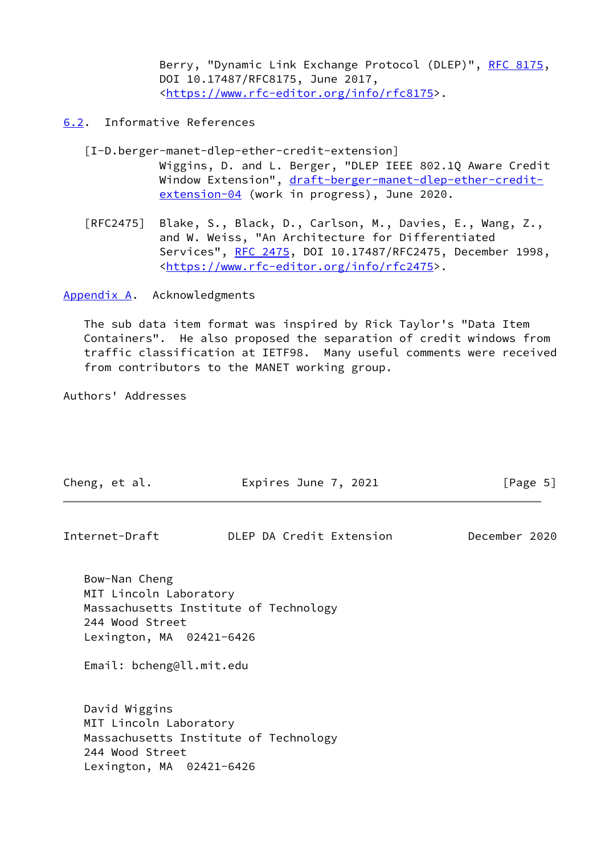Berry, "Dynamic Link Exchange Protocol (DLEP)", [RFC 8175,](https://datatracker.ietf.org/doc/pdf/rfc8175) DOI 10.17487/RFC8175, June 2017, <[https://www.rfc-editor.org/info/rfc8175>](https://www.rfc-editor.org/info/rfc8175).

## <span id="page-5-0"></span>[6.2](#page-5-0). Informative References

- <span id="page-5-2"></span> [I-D.berger-manet-dlep-ether-credit-extension] Wiggins, D. and L. Berger, "DLEP IEEE 802.1Q Aware Credit Window Extension", [draft-berger-manet-dlep-ether-credit](https://datatracker.ietf.org/doc/pdf/draft-berger-manet-dlep-ether-credit-extension-04) [extension-04](https://datatracker.ietf.org/doc/pdf/draft-berger-manet-dlep-ether-credit-extension-04) (work in progress), June 2020.
- [RFC2475] Blake, S., Black, D., Carlson, M., Davies, E., Wang, Z., and W. Weiss, "An Architecture for Differentiated Services", [RFC 2475](https://datatracker.ietf.org/doc/pdf/rfc2475), DOI 10.17487/RFC2475, December 1998, <[https://www.rfc-editor.org/info/rfc2475>](https://www.rfc-editor.org/info/rfc2475).

<span id="page-5-1"></span>[Appendix A.](#page-5-1) Acknowledgments

 The sub data item format was inspired by Rick Taylor's "Data Item Containers". He also proposed the separation of credit windows from traffic classification at IETF98. Many useful comments were received from contributors to the MANET working group.

Authors' Addresses

| Cheng, et al.                                                                                                      | Expires June 7, 2021                  | [Page 5]      |
|--------------------------------------------------------------------------------------------------------------------|---------------------------------------|---------------|
| Internet-Draft                                                                                                     | DLEP DA Credit Extension              | December 2020 |
| Bow-Nan Cheng<br>MIT Lincoln Laboratory<br>244 Wood Street<br>Lexington, MA 02421-6426<br>Email: bcheng@ll.mit.edu | Massachusetts Institute of Technology |               |
| David Wiggins<br>MIT Lincoln Laboratory<br>244 Wood Street<br>Lexington, MA 02421-6426                             | Massachusetts Institute of Technology |               |